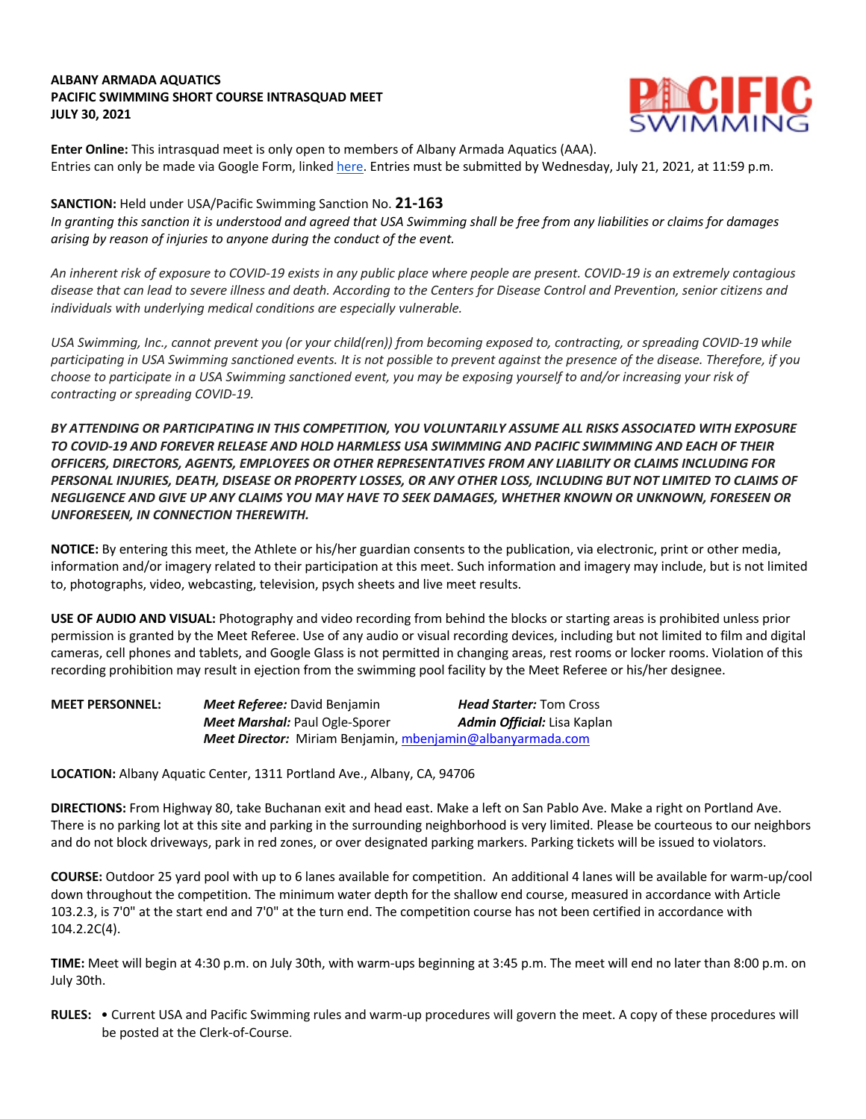## **ALBANY ARMADA AQUATICS PACIFIC SWIMMING SHORT COURSE INTRASQUAD MEET JULY 30, 2021**



**Enter Online:** This intrasquad meet is only open to members of Albany Armada Aquatics (AAA). Entries can only be made via Google Form, linked here. Entries must be submitted by Wednesday, July 21, 2021, at 11:59 p.m.

## **SANCTION:** Held under USA/Pacific Swimming Sanction No. **21-163**

*In granting this sanction it is understood and agreed that USA Swimming shall be free from any liabilities or claims for damages arising by reason of injuries to anyone during the conduct of the event.* 

*An inherent risk of exposure to COVID-19 exists in any public place where people are present. COVID-19 is an extremely contagious disease that can lead to severe illness and death. According to the Centers for Disease Control and Prevention, senior citizens and individuals with underlying medical conditions are especially vulnerable.*

*USA Swimming, Inc., cannot prevent you (or your child(ren)) from becoming exposed to, contracting, or spreading COVID-19 while participating in USA Swimming sanctioned events. It is not possible to prevent against the presence of the disease. Therefore, if you choose to participate in a USA Swimming sanctioned event, you may be exposing yourself to and/or increasing your risk of contracting or spreading COVID-19.*

*BY ATTENDING OR PARTICIPATING IN THIS COMPETITION, YOU VOLUNTARILY ASSUME ALL RISKS ASSOCIATED WITH EXPOSURE TO COVID-19 AND FOREVER RELEASE AND HOLD HARMLESS USA SWIMMING AND PACIFIC SWIMMING AND EACH OF THEIR OFFICERS, DIRECTORS, AGENTS, EMPLOYEES OR OTHER REPRESENTATIVES FROM ANY LIABILITY OR CLAIMS INCLUDING FOR PERSONAL INJURIES, DEATH, DISEASE OR PROPERTY LOSSES, OR ANY OTHER LOSS, INCLUDING BUT NOT LIMITED TO CLAIMS OF NEGLIGENCE AND GIVE UP ANY CLAIMS YOU MAY HAVE TO SEEK DAMAGES, WHETHER KNOWN OR UNKNOWN, FORESEEN OR UNFORESEEN, IN CONNECTION THEREWITH.*

**NOTICE:** By entering this meet, the Athlete or his/her guardian consents to the publication, via electronic, print or other media, information and/or imagery related to their participation at this meet. Such information and imagery may include, but is not limited to, photographs, video, webcasting, television, psych sheets and live meet results.

**USE OF AUDIO AND VISUAL:** Photography and video recording from behind the blocks or starting areas is prohibited unless prior permission is granted by the Meet Referee. Use of any audio or visual recording devices, including but not limited to film and digital cameras, cell phones and tablets, and Google Glass is not permitted in changing areas, rest rooms or locker rooms. Violation of this recording prohibition may result in ejection from the swimming pool facility by the Meet Referee or his/her designee.

| <b>MEET PERSONNEL:</b> | <b>Meet Referee:</b> David Benjamin                        | <b>Head Starter:</b> Tom Cross     |
|------------------------|------------------------------------------------------------|------------------------------------|
|                        | <b>Meet Marshal: Paul Ogle-Sporer</b>                      | <b>Admin Official:</b> Lisa Kaplan |
|                        | Meet Director: Miriam Benjamin, mbenjamin@albanyarmada.com |                                    |

**LOCATION:** Albany Aquatic Center, 1311 Portland Ave., Albany, CA, 94706

**DIRECTIONS:** From Highway 80, take Buchanan exit and head east. Make a left on San Pablo Ave. Make a right on Portland Ave. There is no parking lot at this site and parking in the surrounding neighborhood is very limited. Please be courteous to our neighbors and do not block driveways, park in red zones, or over designated parking markers. Parking tickets will be issued to violators.

**COURSE:** Outdoor 25 yard pool with up to 6 lanes available for competition. An additional 4 lanes will be available for warm-up/cool down throughout the competition. The minimum water depth for the shallow end course, measured in accordance with Article 103.2.3, is 7'0" at the start end and 7'0" at the turn end. The competition course has not been certified in accordance with 104.2.2C(4).

**TIME:** Meet will begin at 4:30 p.m. on July 30th, with warm-ups beginning at 3:45 p.m. The meet will end no later than 8:00 p.m. on July 30th.

**RULES:** • Current USA and Pacific Swimming rules and warm-up procedures will govern the meet. A copy of these procedures will be posted at the Clerk-of-Course.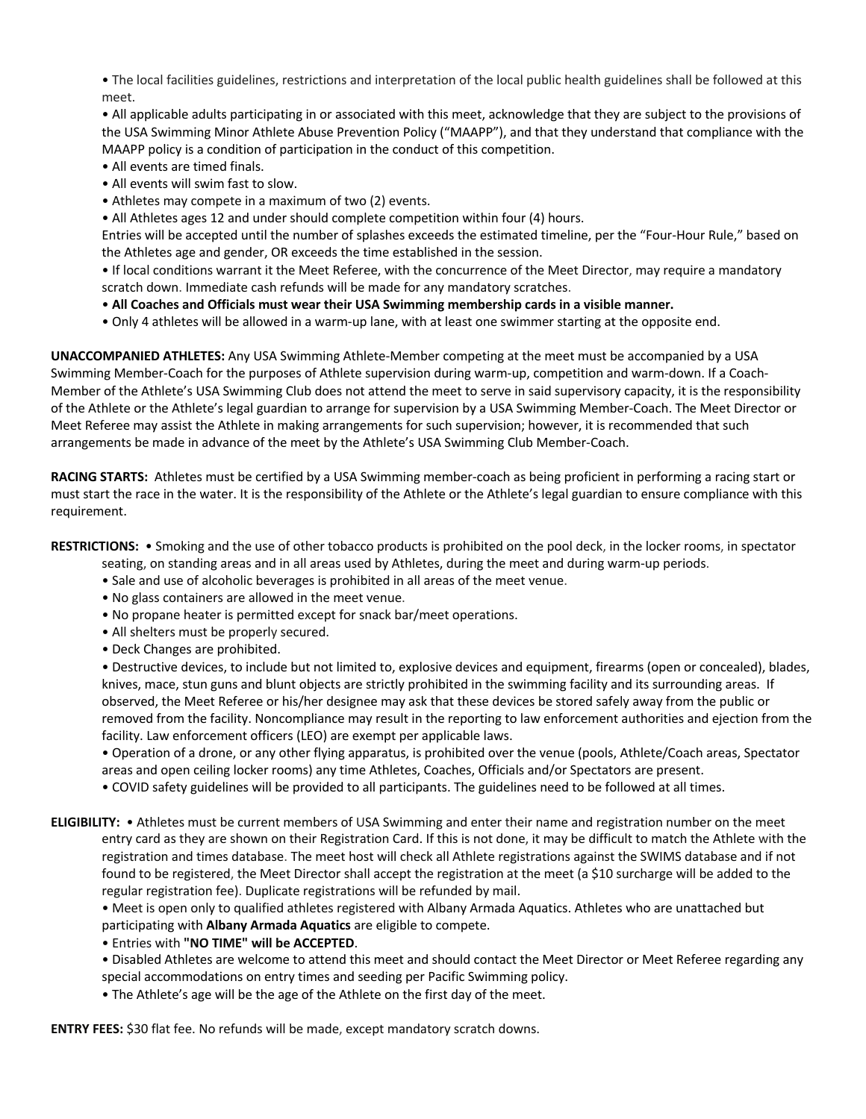• The local facilities guidelines, restrictions and interpretation of the local public health guidelines shall be followed at this meet.

• All applicable adults participating in or associated with this meet, acknowledge that they are subject to the provisions of the USA Swimming Minor Athlete Abuse Prevention Policy ("MAAPP"), and that they understand that compliance with the MAAPP policy is a condition of participation in the conduct of this competition.

- All events are timed finals.
- All events will swim fast to slow.
- Athletes may compete in a maximum of two (2) events.
- All Athletes ages 12 and under should complete competition within four (4) hours.

Entries will be accepted until the number of splashes exceeds the estimated timeline, per the "Four-Hour Rule," based on the Athletes age and gender, OR exceeds the time established in the session.

• If local conditions warrant it the Meet Referee, with the concurrence of the Meet Director, may require a mandatory scratch down. Immediate cash refunds will be made for any mandatory scratches.

- **All Coaches and Officials must wear their USA Swimming membership cards in a visible manner.**
- Only 4 athletes will be allowed in a warm-up lane, with at least one swimmer starting at the opposite end.

**UNACCOMPANIED ATHLETES:** Any USA Swimming Athlete-Member competing at the meet must be accompanied by a USA Swimming Member-Coach for the purposes of Athlete supervision during warm-up, competition and warm-down. If a Coach-Member of the Athlete's USA Swimming Club does not attend the meet to serve in said supervisory capacity, it is the responsibility of the Athlete or the Athlete's legal guardian to arrange for supervision by a USA Swimming Member-Coach. The Meet Director or Meet Referee may assist the Athlete in making arrangements for such supervision; however, it is recommended that such arrangements be made in advance of the meet by the Athlete's USA Swimming Club Member-Coach.

**RACING STARTS:** Athletes must be certified by a USA Swimming member-coach as being proficient in performing a racing start or must start the race in the water. It is the responsibility of the Athlete or the Athlete's legal guardian to ensure compliance with this requirement.

# **RESTRICTIONS:** • Smoking and the use of other tobacco products is prohibited on the pool deck, in the locker rooms, in spectator

seating, on standing areas and in all areas used by Athletes, during the meet and during warm-up periods.

- Sale and use of alcoholic beverages is prohibited in all areas of the meet venue.
- No glass containers are allowed in the meet venue.
- No propane heater is permitted except for snack bar/meet operations.
- All shelters must be properly secured.
- Deck Changes are prohibited.

• Destructive devices, to include but not limited to, explosive devices and equipment, firearms (open or concealed), blades, knives, mace, stun guns and blunt objects are strictly prohibited in the swimming facility and its surrounding areas. If observed, the Meet Referee or his/her designee may ask that these devices be stored safely away from the public or removed from the facility. Noncompliance may result in the reporting to law enforcement authorities and ejection from the facility. Law enforcement officers (LEO) are exempt per applicable laws.

• Operation of a drone, or any other flying apparatus, is prohibited over the venue (pools, Athlete/Coach areas, Spectator areas and open ceiling locker rooms) any time Athletes, Coaches, Officials and/or Spectators are present.

• COVID safety guidelines will be provided to all participants. The guidelines need to be followed at all times.

**ELIGIBILITY:** • Athletes must be current members of USA Swimming and enter their name and registration number on the meet entry card as they are shown on their Registration Card. If this is not done, it may be difficult to match the Athlete with the registration and times database. The meet host will check all Athlete registrations against the SWIMS database and if not found to be registered, the Meet Director shall accept the registration at the meet (a \$10 surcharge will be added to the regular registration fee). Duplicate registrations will be refunded by mail.

• Meet is open only to qualified athletes registered with Albany Armada Aquatics. Athletes who are unattached but participating with **Albany Armada Aquatics** are eligible to compete.

• Entries with **"NO TIME" will be ACCEPTED**.

- Disabled Athletes are welcome to attend this meet and should contact the Meet Director or Meet Referee regarding any special accommodations on entry times and seeding per Pacific Swimming policy.
- The Athlete's age will be the age of the Athlete on the first day of the meet.

**ENTRY FEES:** \$30 flat fee. No refunds will be made, except mandatory scratch downs.